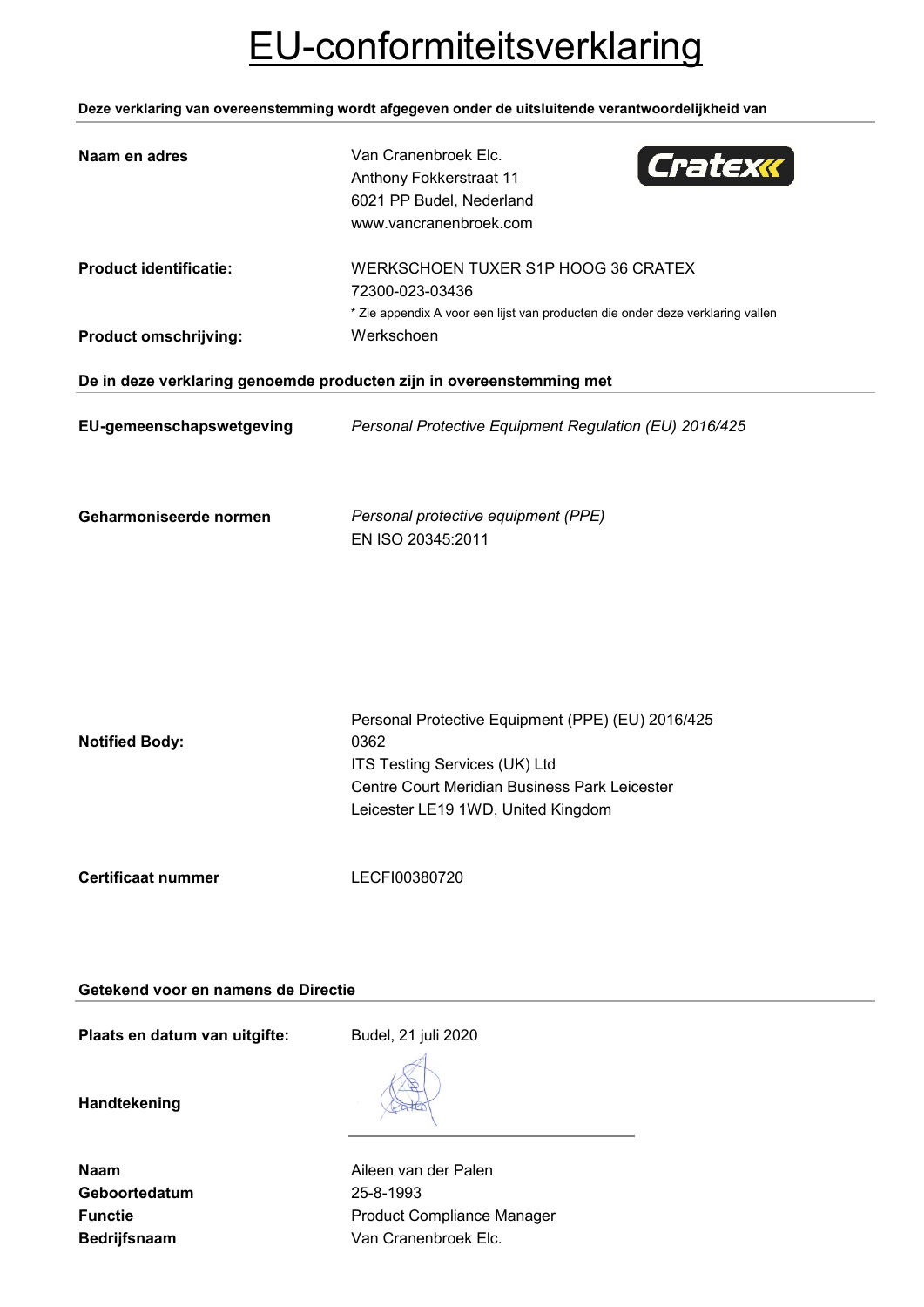# EU-conformiteitsverklaring

**Deze verklaring van overeenstemming wordt afgegeven onder de uitsluitende verantwoordelijkheid van**

| Naam en adres                                                        | Van Cranenbroek Elc.<br>Cratexx<br>Anthony Fokkerstraat 11<br>6021 PP Budel, Nederland<br>www.vancranenbroek.com                                                                  |
|----------------------------------------------------------------------|-----------------------------------------------------------------------------------------------------------------------------------------------------------------------------------|
| <b>Product identificatie:</b>                                        | WERKSCHOEN TUXER S1P HOOG 36 CRATEX<br>72300-023-03436<br>* Zie appendix A voor een lijst van producten die onder deze verklaring vallen                                          |
| <b>Product omschrijving:</b>                                         | Werkschoen                                                                                                                                                                        |
| De in deze verklaring genoemde producten zijn in overeenstemming met |                                                                                                                                                                                   |
| EU-gemeenschapswetgeving                                             | Personal Protective Equipment Regulation (EU) 2016/425                                                                                                                            |
| Geharmoniseerde normen                                               | Personal protective equipment (PPE)<br>EN ISO 20345:2011                                                                                                                          |
| <b>Notified Body:</b>                                                | Personal Protective Equipment (PPE) (EU) 2016/425<br>0362<br>ITS Testing Services (UK) Ltd<br>Centre Court Meridian Business Park Leicester<br>Leicester LE19 1WD, United Kingdom |
| <b>Certificaat nummer</b>                                            | LECFI00380720                                                                                                                                                                     |

## **Getekend voor en namens de Directie**

Plaats en datum van uitgifte: Budel, 21 juli 2020

**Handtekening**

| Naam                |
|---------------------|
| Geboortedatum       |
| <b>Functie</b>      |
| <b>Bedrijfsnaam</b> |

**Aileen van der Palen Geboortedatum** 25-8-1993 **Product Compliance Manager** Van Cranenbroek Elc.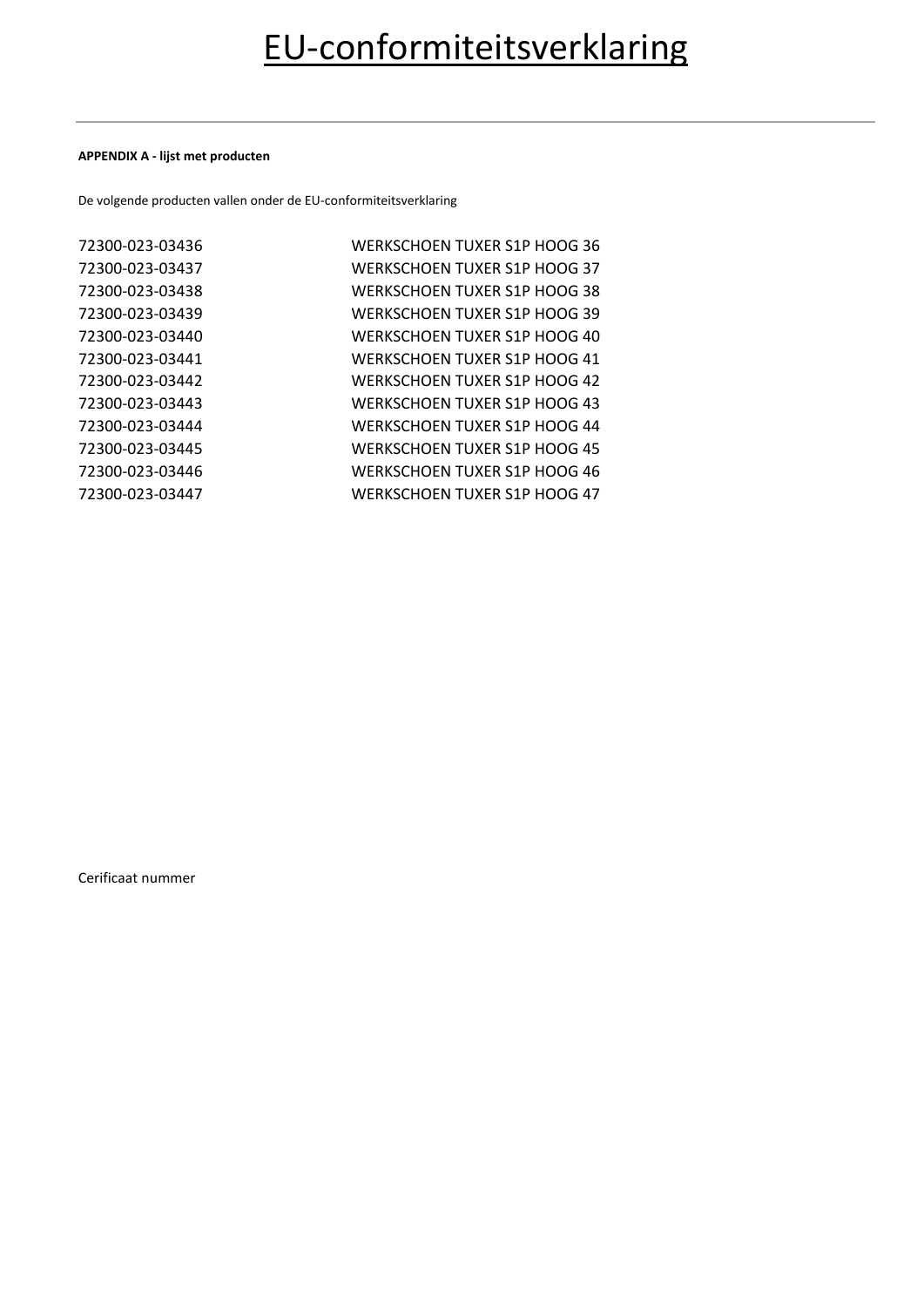#### **APPENDIX A - lijst met producten**

De volgende producten vallen onder de EU-conformiteitsverklaring

| 72300-023-03436 | WERKSCHOEN TUXER S1P HOOG 36        |
|-----------------|-------------------------------------|
| 72300-023-03437 | WERKSCHOEN TUXER S1P HOOG 37        |
| 72300-023-03438 | WERKSCHOEN TUXER S1P HOOG 38        |
| 72300-023-03439 | WERKSCHOEN TUXER S1P HOOG 39        |
| 72300-023-03440 | WERKSCHOEN TUXER S1P HOOG 40        |
| 72300-023-03441 | WERKSCHOEN TUXER S1P HOOG 41        |
| 72300-023-03442 | WERKSCHOEN TUXER S1P HOOG 42        |
| 72300-023-03443 | <b>WERKSCHOEN TUXER S1P HOOG 43</b> |
| 72300-023-03444 | WERKSCHOEN TUXER S1P HOOG 44        |
| 72300-023-03445 | WERKSCHOEN TUXER S1P HOOG 45        |
| 72300-023-03446 | WERKSCHOEN TUXER S1P HOOG 46        |
| 72300-023-03447 | WERKSCHOEN TUXER S1P HOOG 47        |
|                 |                                     |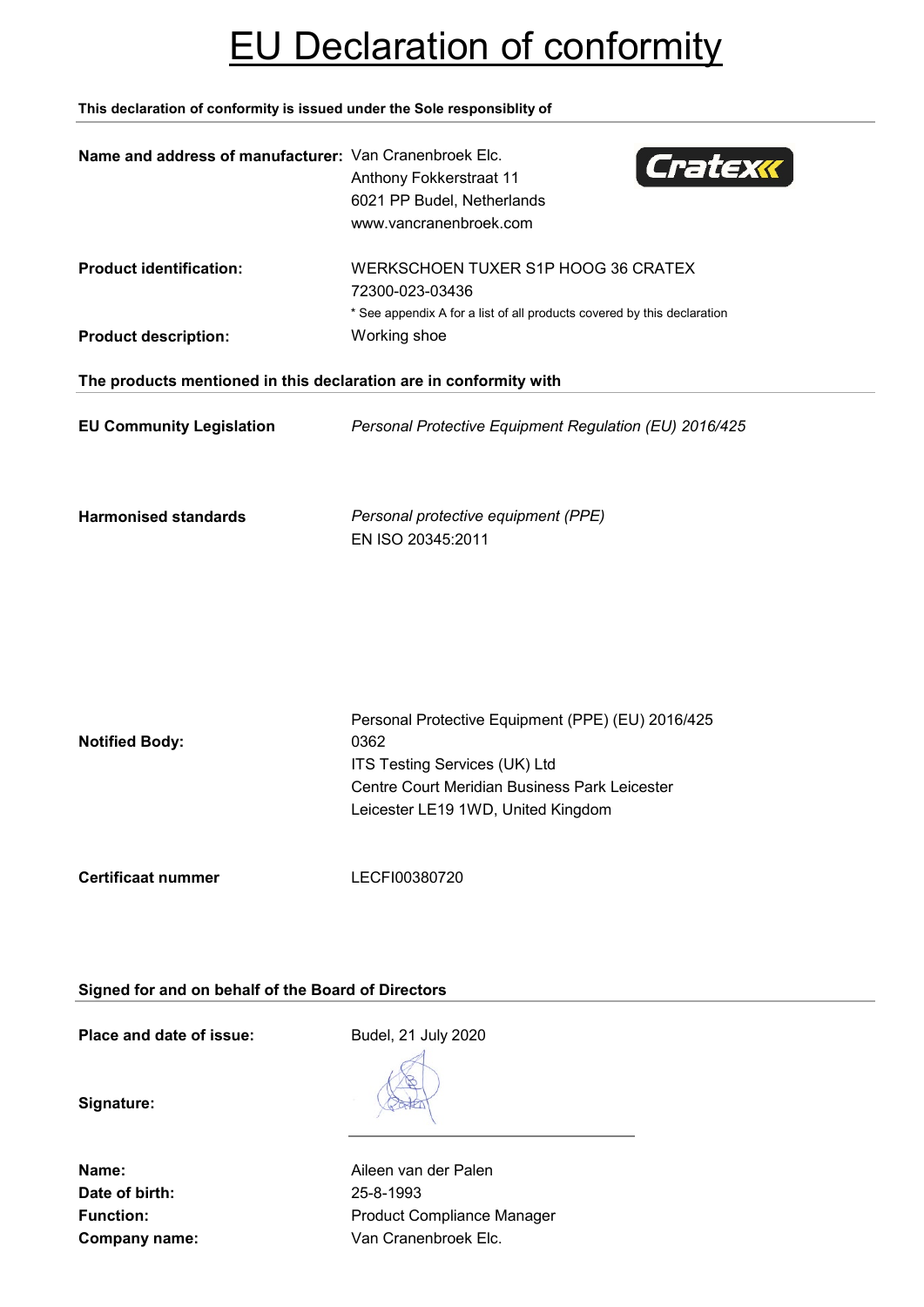# EU Declaration of conformity

**This declaration of conformity is issued under the Sole responsiblity of**

| Name and address of manufacturer: Van Cranenbroek Elc.            | Cratexk<br>Anthony Fokkerstraat 11<br>6021 PP Budel, Netherlands<br>www.vancranenbroek.com                                                                                        |
|-------------------------------------------------------------------|-----------------------------------------------------------------------------------------------------------------------------------------------------------------------------------|
| <b>Product identification:</b>                                    | WERKSCHOEN TUXER S1P HOOG 36 CRATEX<br>72300-023-03436<br>* See appendix A for a list of all products covered by this declaration                                                 |
| <b>Product description:</b>                                       | Working shoe                                                                                                                                                                      |
| The products mentioned in this declaration are in conformity with |                                                                                                                                                                                   |
| <b>EU Community Legislation</b>                                   | Personal Protective Equipment Regulation (EU) 2016/425                                                                                                                            |
| <b>Harmonised standards</b>                                       | Personal protective equipment (PPE)<br>EN ISO 20345:2011                                                                                                                          |
| <b>Notified Body:</b>                                             | Personal Protective Equipment (PPE) (EU) 2016/425<br>0362<br>ITS Testing Services (UK) Ltd<br>Centre Court Meridian Business Park Leicester<br>Leicester LE19 1WD, United Kingdom |
| <b>Certificaat nummer</b>                                         | LECFI00380720                                                                                                                                                                     |

**Signed for and on behalf of the Board of Directors**

**Place and date of issue:** Budel, 21 July 2020

**Signature:**

**Date of birth:** 25-8-1993

**Name:** Aileen van der Palen Function: **Function:** Product Compliance Manager **Company name:** Van Cranenbroek Elc.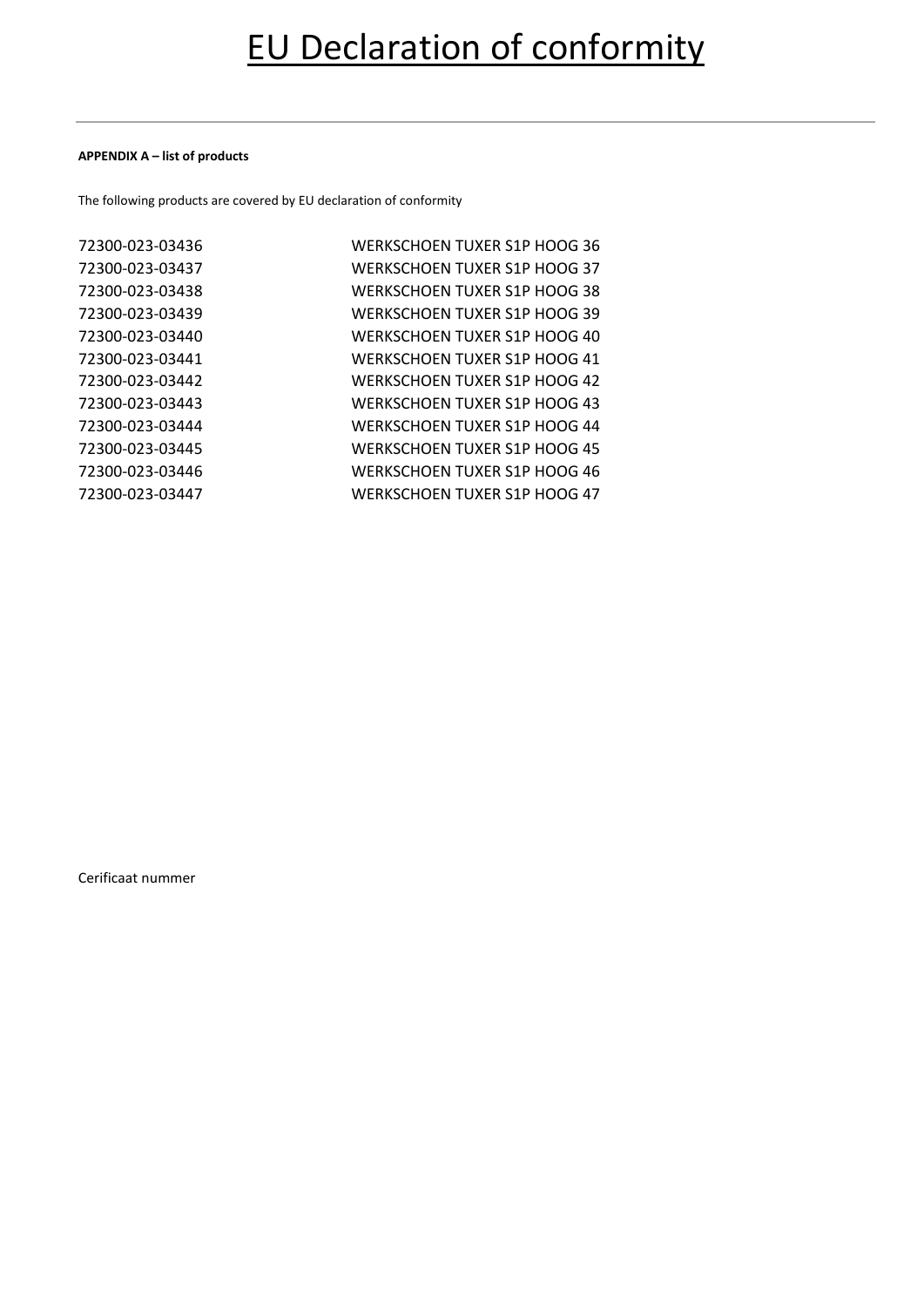#### **APPENDIX A – list of products**

The following products are covered by EU declaration of conformity

| 72300-023-03436 | WERKSCHOEN TUXER S1P HOOG 36 |
|-----------------|------------------------------|
| 72300-023-03437 | WERKSCHOEN TUXER S1P HOOG 37 |
| 72300-023-03438 | WERKSCHOEN TUXER S1P HOOG 38 |
| 72300-023-03439 | WERKSCHOEN TUXER S1P HOOG 39 |
| 72300-023-03440 | WERKSCHOEN TUXER S1P HOOG 40 |
| 72300-023-03441 | WERKSCHOEN TUXER S1P HOOG 41 |
| 72300-023-03442 | WERKSCHOEN TUXER S1P HOOG 42 |
| 72300-023-03443 | WERKSCHOEN TUXER S1P HOOG 43 |
| 72300-023-03444 | WERKSCHOEN TUXER S1P HOOG 44 |
| 72300-023-03445 | WERKSCHOEN TUXER S1P HOOG 45 |
| 72300-023-03446 | WERKSCHOEN TUXER S1P HOOG 46 |
| 72300-023-03447 | WERKSCHOEN TUXER S1P HOOG 47 |
|                 |                              |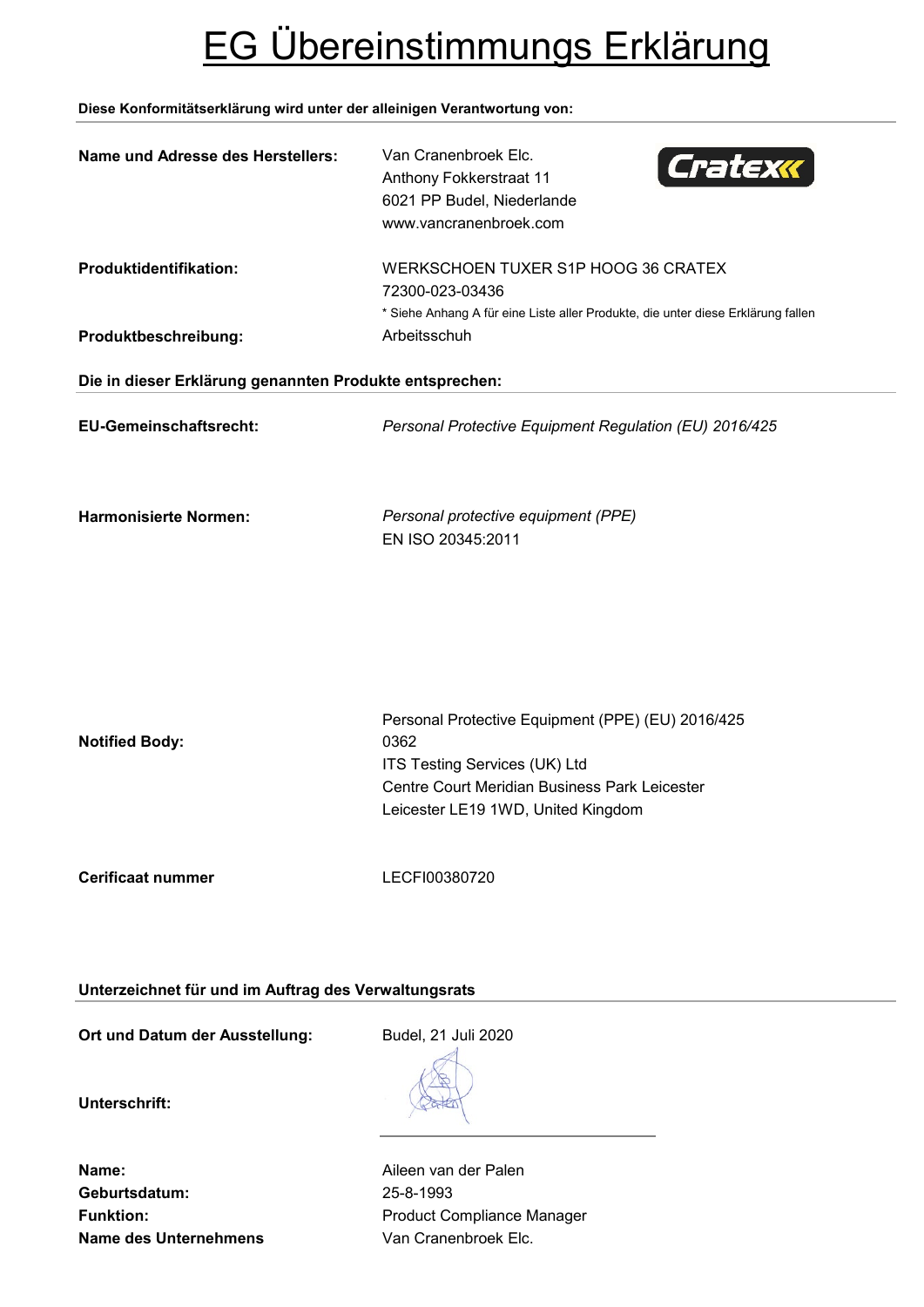# EG Übereinstimmungs Erklärung

## **Diese Konformitätserklärung wird unter der alleinigen Verantwortung von:**

| Name und Adresse des Herstellers:                       | Van Cranenbroek Elc.<br>Cratexx<br>Anthony Fokkerstraat 11<br>6021 PP Budel, Niederlande<br>www.vancranenbroek.com                          |  |
|---------------------------------------------------------|---------------------------------------------------------------------------------------------------------------------------------------------|--|
| Produktidentifikation:                                  | WERKSCHOEN TUXER S1P HOOG 36 CRATEX<br>72300-023-03436<br>* Siehe Anhang A für eine Liste aller Produkte, die unter diese Erklärung fallen  |  |
| Produktbeschreibung:                                    | Arbeitsschuh                                                                                                                                |  |
| Die in dieser Erklärung genannten Produkte entsprechen: |                                                                                                                                             |  |
| EU-Gemeinschaftsrecht:                                  | Personal Protective Equipment Regulation (EU) 2016/425                                                                                      |  |
| <b>Harmonisierte Normen:</b>                            | Personal protective equipment (PPE)<br>EN ISO 20345:2011                                                                                    |  |
| <b>Notified Body:</b>                                   | Personal Protective Equipment (PPE) (EU) 2016/425<br>0362<br>ITS Testing Services (UK) Ltd<br>Centre Court Meridian Business Park Leicester |  |
|                                                         | Leicester LE19 1WD, United Kingdom                                                                                                          |  |
| <b>Cerificaat nummer</b>                                | LECFI00380720                                                                                                                               |  |
| Unterzeichnet für und im Auftrag des Verwaltungsrats    |                                                                                                                                             |  |

Ort und Datum der Ausstellung: Budel, 21 Juli 2020

**Unterschrift:**

**Geburtsdatum:** 25-8-1993 **Name des Unternehmens** Van Cranenbroek Elc.

**Name:** Aileen van der Palen Funktion: **Funktion:** Product Compliance Manager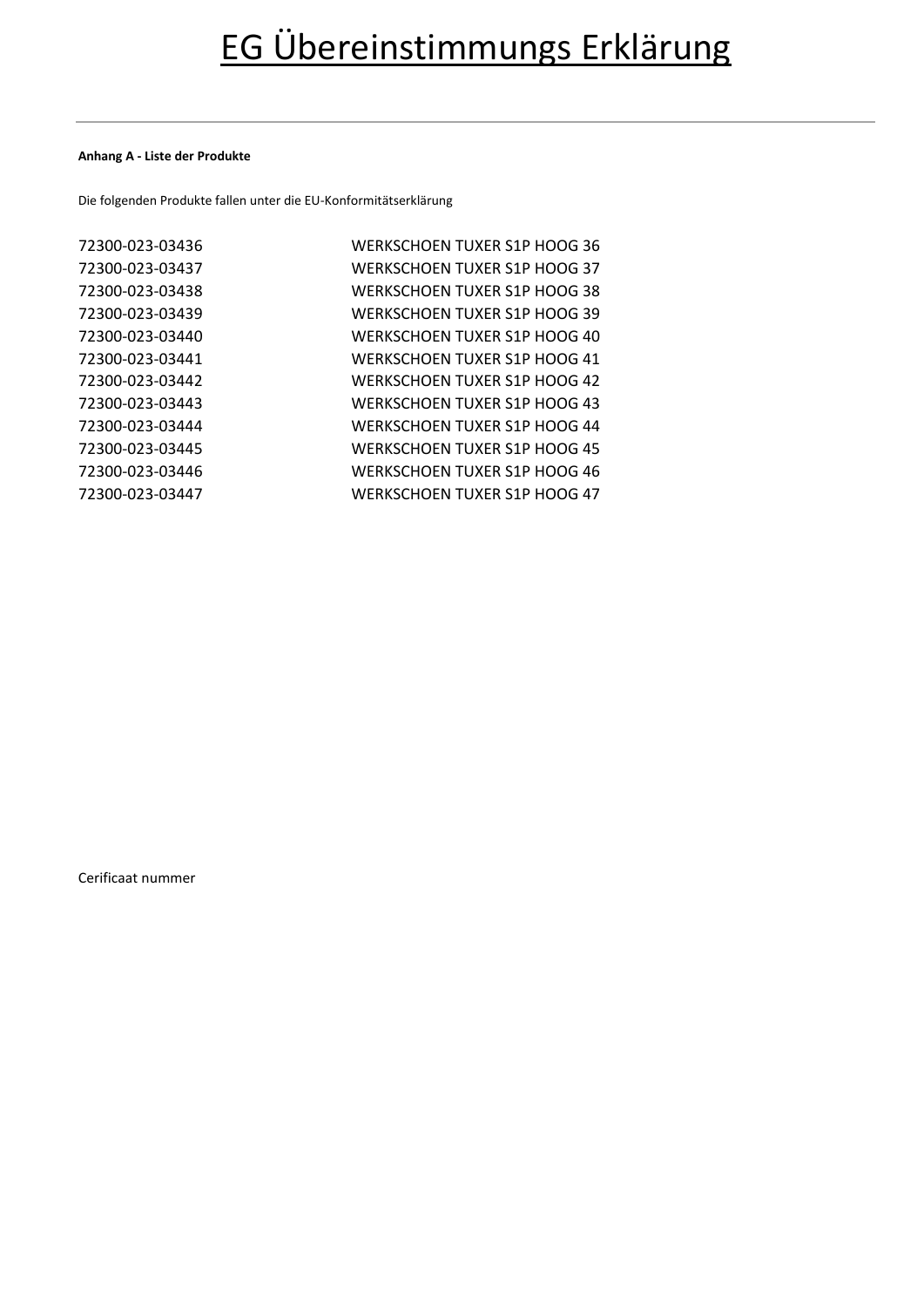### **Anhang A - Liste der Produkte**

Die folgenden Produkte fallen unter die EU-Konformitätserklärung

| 72300-023-03436 | WERKSCHOEN TUXER S1P HOOG 36        |
|-----------------|-------------------------------------|
| 72300-023-03437 | WERKSCHOEN TUXER S1P HOOG 37        |
| 72300-023-03438 | WERKSCHOEN TUXER S1P HOOG 38        |
| 72300-023-03439 | <b>WERKSCHOEN TUXER S1P HOOG 39</b> |
| 72300-023-03440 | WERKSCHOEN TUXER S1P HOOG 40        |
| 72300-023-03441 | <b>WERKSCHOEN TUXER S1P HOOG 41</b> |
| 72300-023-03442 | WERKSCHOEN TUXER S1P HOOG 42        |
| 72300-023-03443 | WERKSCHOEN TUXER S1P HOOG 43        |
| 72300-023-03444 | WERKSCHOEN TUXER S1P HOOG 44        |
| 72300-023-03445 | WERKSCHOEN TUXER S1P HOOG 45        |
| 72300-023-03446 | WERKSCHOEN TUXER S1P HOOG 46        |
| 72300-023-03447 | WERKSCHOEN TUXER S1P HOOG 47        |
|                 |                                     |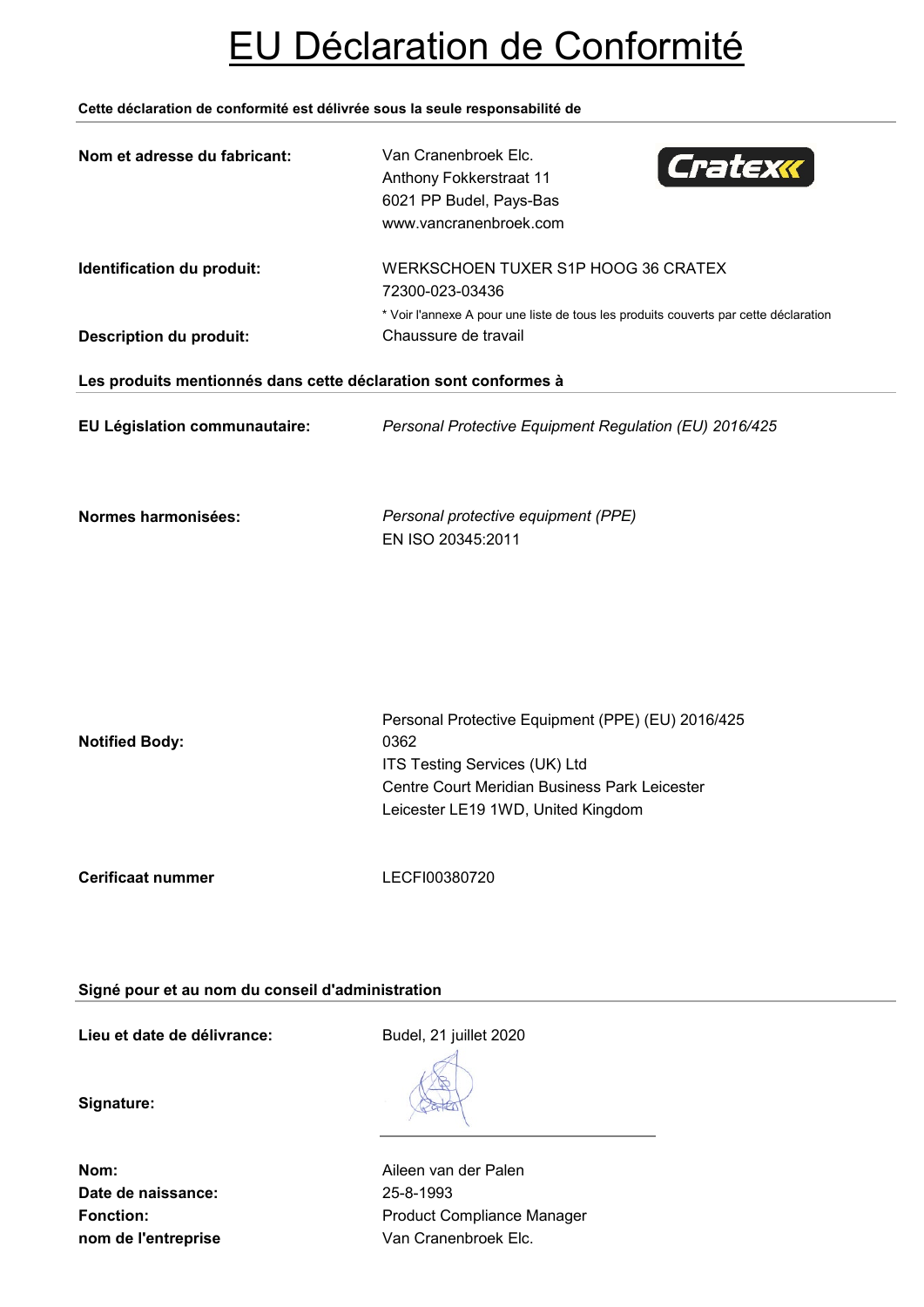# EU Déclaration de Conformité

## **Cette déclaration de conformité est délivrée sous la seule responsabilité de**

| Nom et adresse du fabricant:                                    | Van Cranenbroek Elc.<br>Cratexx<br>Anthony Fokkerstraat 11<br>6021 PP Budel, Pays-Bas<br>www.vancranenbroek.com                                                                   |
|-----------------------------------------------------------------|-----------------------------------------------------------------------------------------------------------------------------------------------------------------------------------|
| Identification du produit:<br><b>Description du produit:</b>    | WERKSCHOEN TUXER S1P HOOG 36 CRATEX<br>72300-023-03436<br>* Voir l'annexe A pour une liste de tous les produits couverts par cette déclaration<br>Chaussure de travail            |
| Les produits mentionnés dans cette déclaration sont conformes à |                                                                                                                                                                                   |
| EU Législation communautaire:                                   | Personal Protective Equipment Regulation (EU) 2016/425                                                                                                                            |
| Normes harmonisées:                                             | Personal protective equipment (PPE)<br>EN ISO 20345:2011                                                                                                                          |
| <b>Notified Body:</b>                                           | Personal Protective Equipment (PPE) (EU) 2016/425<br>0362<br>ITS Testing Services (UK) Ltd<br>Centre Court Meridian Business Park Leicester<br>Leicester LE19 1WD, United Kingdom |
| <b>Cerificaat nummer</b>                                        | LECFI00380720                                                                                                                                                                     |

# **Signé pour et au nom du conseil d'administration**

**Lieu et date de délivrance:** Budel, 21 juillet 2020

**Signature:**

**Date de naissance:** 25-8-1993 **nom de l'entreprise van Cranenbroek Elc.** 

**Nom:** Aileen van der Palen Fonction: **Fonction:** Product Compliance Manager